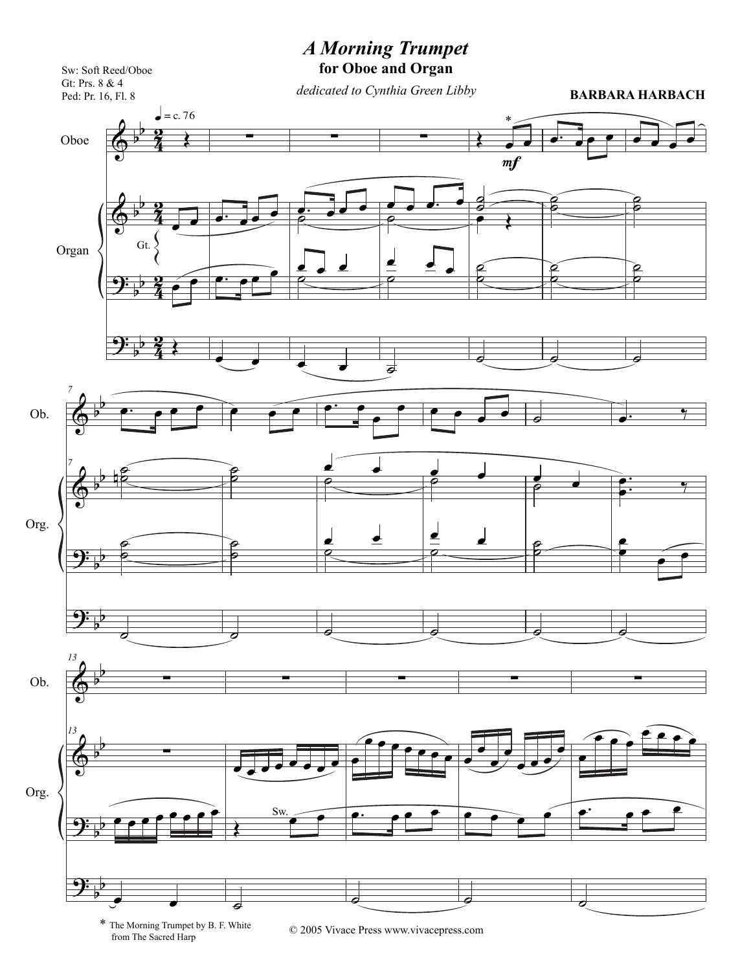## *A Morning Trumpet* **for Oboe and Organ**

Sw: Soft Reed/Oboe Gt: Prs. 8 & 4 Ped: Pr. 16, Fl. 8

*dedicated to Cynthia Green Libby*

**BARBARA HARBACH**

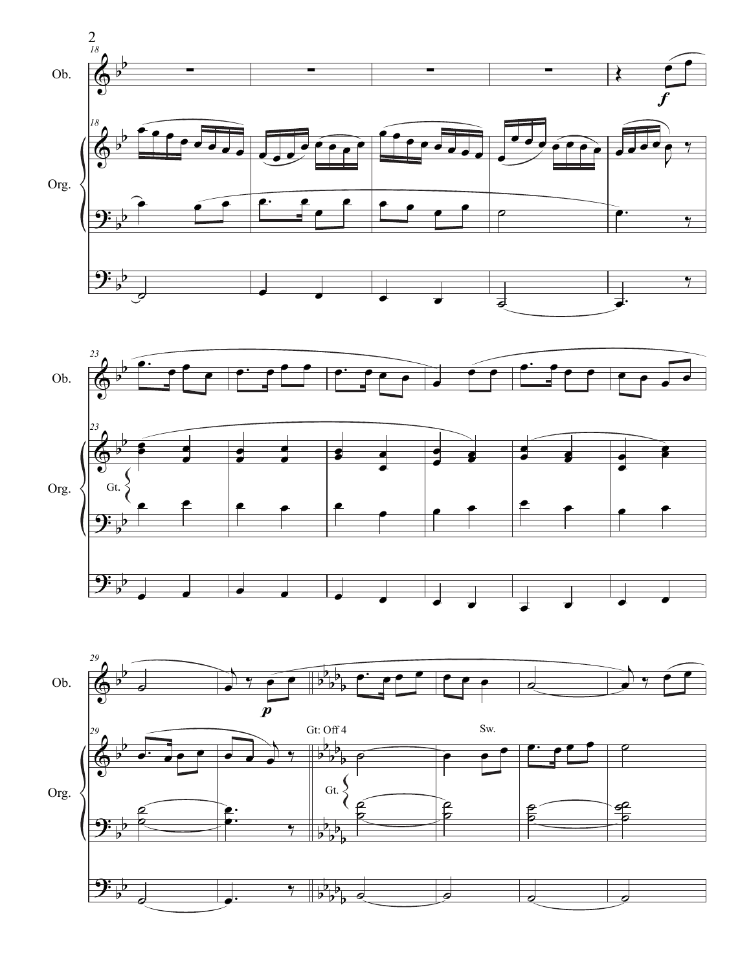